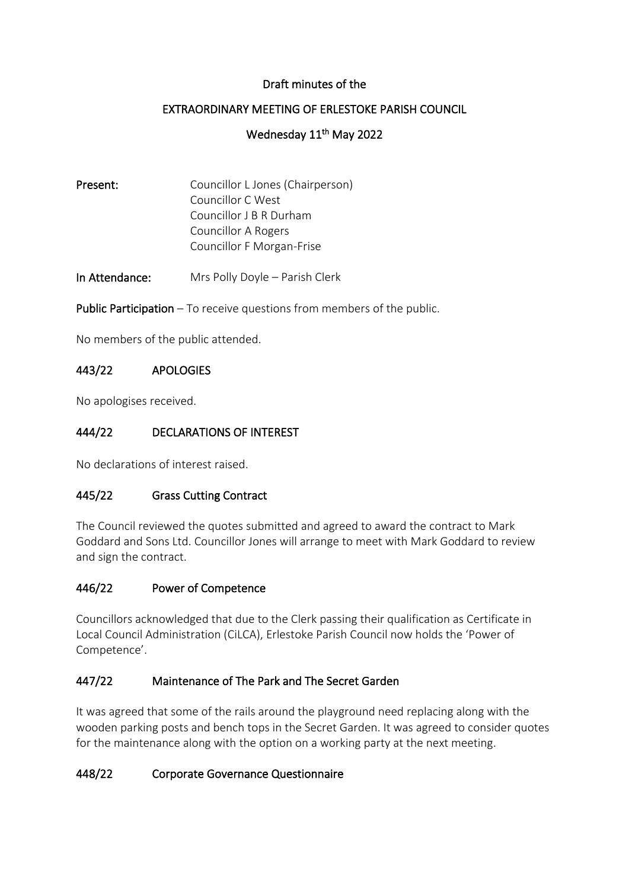#### Draft minutes of the

# EXTRAORDINARY MEETING OF ERLESTOKE PARISH COUNCIL

# Wednesday 11<sup>th</sup> May 2022

| Present: | Councillor L Jones (Chairperson) |
|----------|----------------------------------|
|          | Councillor C West                |
|          | Councillor J B R Durham          |
|          | <b>Councillor A Rogers</b>       |
|          | Councillor F Morgan-Frise        |
|          |                                  |

In Attendance: Mrs Polly Doyle – Parish Clerk

Public Participation – To receive questions from members of the public.

No members of the public attended.

#### 443/22 APOLOGIES

No apologises received.

## 444/22 DECLARATIONS OF INTEREST

No declarations of interest raised.

#### 445/22 Grass Cutting Contract

The Council reviewed the quotes submitted and agreed to award the contract to Mark Goddard and Sons Ltd. Councillor Jones will arrange to meet with Mark Goddard to review and sign the contract.

#### 446/22 Power of Competence

Councillors acknowledged that due to the Clerk passing their qualification as Certificate in Local Council Administration (CiLCA), Erlestoke Parish Council now holds the 'Power of Competence'.

#### 447/22 Maintenance of The Park and The Secret Garden

It was agreed that some of the rails around the playground need replacing along with the wooden parking posts and bench tops in the Secret Garden. It was agreed to consider quotes for the maintenance along with the option on a working party at the next meeting.

#### 448/22 Corporate Governance Questionnaire